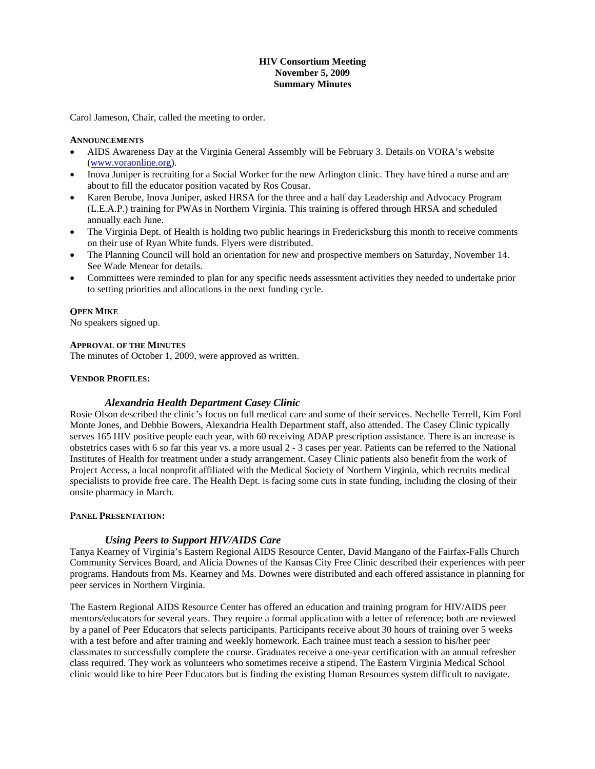# **HIV Consortium Meeting November 5, 2009 Summary Minutes**

Carol Jameson, Chair, called the meeting to order.

## **ANNOUNCEMENTS**

- AIDS Awareness Day at the Virginia General Assembly will be February 3. Details on VORA's website (www.voraonline.org).
- Inova Juniper is recruiting for a Social Worker for the new Arlington clinic. They have hired a nurse and are about to fill the educator position vacated by Ros Cousar.
- Karen Berube, Inova Juniper, asked HRSA for the three and a half day Leadership and Advocacy Program (L.E.A.P.) training for PWAs in Northern Virginia. This training is offered through HRSA and scheduled annually each June.
- The Virginia Dept. of Health is holding two public hearings in Fredericksburg this month to receive comments on their use of Ryan White funds. Flyers were distributed.
- The Planning Council will hold an orientation for new and prospective members on Saturday, November 14. See Wade Menear for details.
- Committees were reminded to plan for any specific needs assessment activities they needed to undertake prior to setting priorities and allocations in the next funding cycle.

## **OPEN MIKE**

No speakers signed up.

#### **APPROVAL OF THE MINUTES**

The minutes of October 1, 2009, were approved as written.

## **VENDOR PROFILES:**

# *Alexandria Health Department Casey Clinic*

Rosie Olson described the clinic's focus on full medical care and some of their services. Nechelle Terrell, Kim Ford Monte Jones, and Debbie Bowers, Alexandria Health Department staff, also attended. The Casey Clinic typically serves 165 HIV positive people each year, with 60 receiving ADAP prescription assistance. There is an increase is obstetrics cases with 6 so far this year vs. a more usual 2 - 3 cases per year. Patients can be referred to the National Institutes of Health for treatment under a study arrangement. Casey Clinic patients also benefit from the work of Project Access, a local nonprofit affiliated with the Medical Society of Northern Virginia, which recruits medical specialists to provide free care. The Health Dept. is facing some cuts in state funding, including the closing of their onsite pharmacy in March.

#### **PANEL PRESENTATION:**

# *Using Peers to Support HIV/AIDS Care*

Tanya Kearney of Virginia's Eastern Regional AIDS Resource Center, David Mangano of the Fairfax-Falls Church Community Services Board, and Alicia Downes of the Kansas City Free Clinic described their experiences with peer programs. Handouts from Ms. Kearney and Ms. Downes were distributed and each offered assistance in planning for peer services in Northern Virginia.

The Eastern Regional AIDS Resource Center has offered an education and training program for HIV/AIDS peer mentors/educators for several years. They require a formal application with a letter of reference; both are reviewed by a panel of Peer Educators that selects participants. Participants receive about 30 hours of training over 5 weeks with a test before and after training and weekly homework. Each trainee must teach a session to his/her peer classmates to successfully complete the course. Graduates receive a one-year certification with an annual refresher class required. They work as volunteers who sometimes receive a stipend. The Eastern Virginia Medical School clinic would like to hire Peer Educators but is finding the existing Human Resources system difficult to navigate.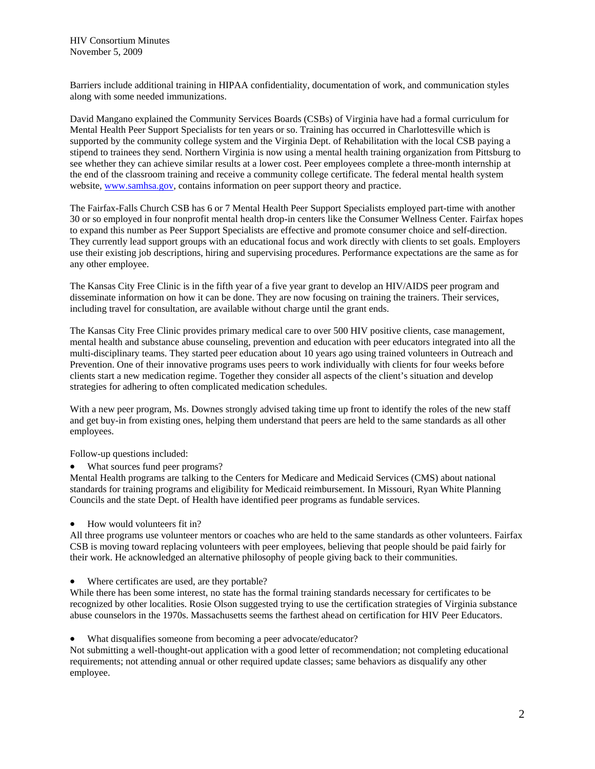Barriers include additional training in HIPAA confidentiality, documentation of work, and communication styles along with some needed immunizations.

David Mangano explained the Community Services Boards (CSBs) of Virginia have had a formal curriculum for Mental Health Peer Support Specialists for ten years or so. Training has occurred in Charlottesville which is supported by the community college system and the Virginia Dept. of Rehabilitation with the local CSB paying a stipend to trainees they send. Northern Virginia is now using a mental health training organization from Pittsburg to see whether they can achieve similar results at a lower cost. Peer employees complete a three-month internship at the end of the classroom training and receive a community college certificate. The federal mental health system website, [www.samhsa.gov,](http://www.samhsa.gov/) contains information on peer support theory and practice.

The Fairfax-Falls Church CSB has 6 or 7 Mental Health Peer Support Specialists employed part-time with another 30 or so employed in four nonprofit mental health drop-in centers like the Consumer Wellness Center. Fairfax hopes to expand this number as Peer Support Specialists are effective and promote consumer choice and self-direction. They currently lead support groups with an educational focus and work directly with clients to set goals. Employers use their existing job descriptions, hiring and supervising procedures. Performance expectations are the same as for any other employee.

The Kansas City Free Clinic is in the fifth year of a five year grant to develop an HIV/AIDS peer program and disseminate information on how it can be done. They are now focusing on training the trainers. Their services, including travel for consultation, are available without charge until the grant ends.

The Kansas City Free Clinic provides primary medical care to over 500 HIV positive clients, case management, mental health and substance abuse counseling, prevention and education with peer educators integrated into all the multi-disciplinary teams. They started peer education about 10 years ago using trained volunteers in Outreach and Prevention. One of their innovative programs uses peers to work individually with clients for four weeks before clients start a new medication regime. Together they consider all aspects of the client's situation and develop strategies for adhering to often complicated medication schedules.

With a new peer program, Ms. Downes strongly advised taking time up front to identify the roles of the new staff and get buy-in from existing ones, helping them understand that peers are held to the same standards as all other employees.

Follow-up questions included:

What sources fund peer programs?

Mental Health programs are talking to the Centers for Medicare and Medicaid Services (CMS) about national standards for training programs and eligibility for Medicaid reimbursement. In Missouri, Ryan White Planning Councils and the state Dept. of Health have identified peer programs as fundable services.

• How would volunteers fit in?

All three programs use volunteer mentors or coaches who are held to the same standards as other volunteers. Fairfax CSB is moving toward replacing volunteers with peer employees, believing that people should be paid fairly for their work. He acknowledged an alternative philosophy of people giving back to their communities.

Where certificates are used, are they portable?

While there has been some interest, no state has the formal training standards necessary for certificates to be recognized by other localities. Rosie Olson suggested trying to use the certification strategies of Virginia substance abuse counselors in the 1970s. Massachusetts seems the farthest ahead on certification for HIV Peer Educators.

What disqualifies someone from becoming a peer advocate/educator?

Not submitting a well-thought-out application with a good letter of recommendation; not completing educational requirements; not attending annual or other required update classes; same behaviors as disqualify any other employee.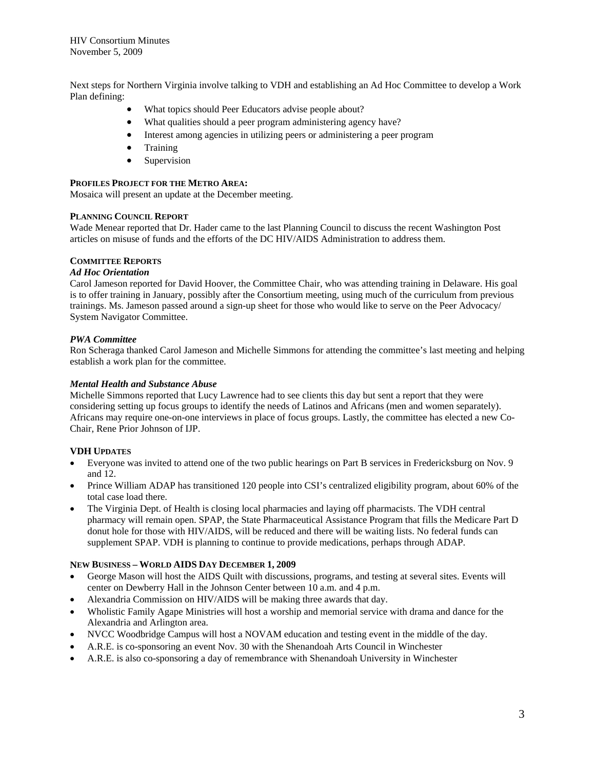Next steps for Northern Virginia involve talking to VDH and establishing an Ad Hoc Committee to develop a Work Plan defining:

- What topics should Peer Educators advise people about?
- What qualities should a peer program administering agency have?
- Interest among agencies in utilizing peers or administering a peer program
- **Training**
- Supervision

## **PROFILES PROJECT FOR THE METRO AREA:**

Mosaica will present an update at the December meeting.

## **PLANNING COUNCIL REPORT**

Wade Menear reported that Dr. Hader came to the last Planning Council to discuss the recent Washington Post articles on misuse of funds and the efforts of the DC HIV/AIDS Administration to address them.

## **COMMITTEE REPORTS**

### *Ad Hoc Orientation*

Carol Jameson reported for David Hoover, the Committee Chair, who was attending training in Delaware. His goal is to offer training in January, possibly after the Consortium meeting, using much of the curriculum from previous trainings. Ms. Jameson passed around a sign-up sheet for those who would like to serve on the Peer Advocacy/ System Navigator Committee.

#### *PWA Committee*

Ron Scheraga thanked Carol Jameson and Michelle Simmons for attending the committee's last meeting and helping establish a work plan for the committee.

### *Mental Health and Substance Abuse*

Michelle Simmons reported that Lucy Lawrence had to see clients this day but sent a report that they were considering setting up focus groups to identify the needs of Latinos and Africans (men and women separately). Africans may require one-on-one interviews in place of focus groups. Lastly, the committee has elected a new Co-Chair, Rene Prior Johnson of IJP.

#### **VDH UPDATES**

- Everyone was invited to attend one of the two public hearings on Part B services in Fredericksburg on Nov. 9 and 12.
- Prince William ADAP has transitioned 120 people into CSI's centralized eligibility program, about 60% of the total case load there.
- The Virginia Dept. of Health is closing local pharmacies and laying off pharmacists. The VDH central pharmacy will remain open. SPAP, the State Pharmaceutical Assistance Program that fills the Medicare Part D donut hole for those with HIV/AIDS, will be reduced and there will be waiting lists. No federal funds can supplement SPAP. VDH is planning to continue to provide medications, perhaps through ADAP.

#### **NEW BUSINESS – WORLD AIDS DAY DECEMBER 1, 2009**

- George Mason will host the AIDS Quilt with discussions, programs, and testing at several sites. Events will center on Dewberry Hall in the Johnson Center between 10 a.m. and 4 p.m.
- Alexandria Commission on HIV/AIDS will be making three awards that day.
- Wholistic Family Agape Ministries will host a worship and memorial service with drama and dance for the Alexandria and Arlington area.
- NVCC Woodbridge Campus will host a NOVAM education and testing event in the middle of the day.
- A.R.E. is co-sponsoring an event Nov. 30 with the Shenandoah Arts Council in Winchester
- A.R.E. is also co-sponsoring a day of remembrance with Shenandoah University in Winchester